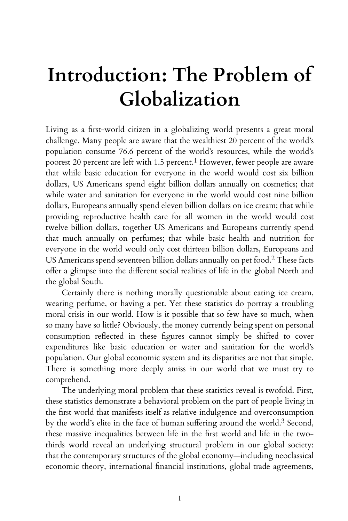# **Introduction: The Problem of Globalization**

Living as a first-world citizen in a globalizing world presents a great moral challenge. Many people are aware that the wealthiest 20 percent of the world's population consume 76.6 percent of the world's resources, while the world's poorest 20 percent are left with 1.5 percent.<sup>1</sup> However, fewer people are aware that while basic education for everyone in the world would cost six billion dollars, US Americans spend eight billion dollars annually on cosmetics; that while water and sanitation for everyone in the world would cost nine billion dollars, Europeans annually spend eleven billion dollars on ice cream; that while providing reproductive health care for all women in the world would cost twelve billion dollars, together US Americans and Europeans currently spend that much annually on perfumes; that while basic health and nutrition for everyone in the world would only cost thirteen billion dollars, Europeans and US Americans spend seventeen billion dollars annually on pet food.2 These facts offer a glimpse into the different social realities of life in the global North and the global South.

Certainly there is nothing morally questionable about eating ice cream, wearing perfume, or having a pet. Yet these statistics do portray a troubling moral crisis in our world. How is it possible that so few have so much, when so many have so little? Obviously, the money currently being spent on personal consumption reflected in these figures cannot simply be shifted to cover expenditures like basic education or water and sanitation for the world's population. Our global economic system and its disparities are not that simple. There is something more deeply amiss in our world that we must try to comprehend.

The underlying moral problem that these statistics reveal is twofold. First, these statistics demonstrate a behavioral problem on the part of people living in the first world that manifests itself as relative indulgence and overconsumption by the world's elite in the face of human suffering around the world.<sup>3</sup> Second, these massive inequalities between life in the first world and life in the twothirds world reveal an underlying structural problem in our global society: that the contemporary structures of the global economy—including neoclassical economic theory, international financial institutions, global trade agreements,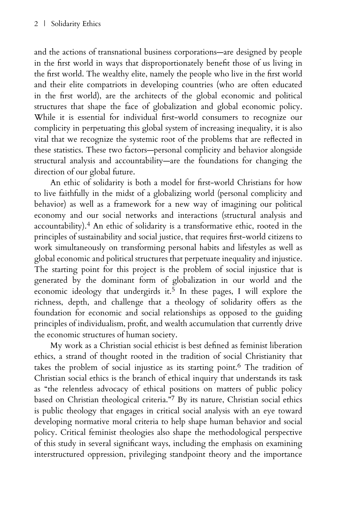and the actions of transnational business corporations—are designed by people in the first world in ways that disproportionately benefit those of us living in the first world. The wealthy elite, namely the people who live in the first world and their elite compatriots in developing countries (who are often educated in the first world), are the architects of the global economic and political structures that shape the face of globalization and global economic policy. While it is essential for individual first-world consumers to recognize our complicity in perpetuating this global system of increasing inequality, it is also vital that we recognize the systemic root of the problems that are reflected in these statistics. These two factors—personal complicity and behavior alongside structural analysis and accountability—are the foundations for changing the direction of our global future.

An ethic of solidarity is both a model for first-world Christians for how to live faithfully in the midst of a globalizing world (personal complicity and behavior) as well as a framework for a new way of imagining our political economy and our social networks and interactions (structural analysis and accountability).4 An ethic of solidarity is a transformative ethic, rooted in the principles of sustainability and social justice, that requires first-world citizens to work simultaneously on transforming personal habits and lifestyles as well as global economic and political structures that perpetuate inequality and injustice. The starting point for this project is the problem of social injustice that is generated by the dominant form of globalization in our world and the economic ideology that undergirds it.<sup>5</sup> In these pages, I will explore the richness, depth, and challenge that a theology of solidarity offers as the foundation for economic and social relationships as opposed to the guiding principles of individualism, profit, and wealth accumulation that currently drive the economic structures of human society.

My work as a Christian social ethicist is best defined as feminist liberation ethics, a strand of thought rooted in the tradition of social Christianity that takes the problem of social injustice as its starting point.6 The tradition of Christian social ethics is the branch of ethical inquiry that understands its task as "the relentless advocacy of ethical positions on matters of public policy based on Christian theological criteria."7 By its nature, Christian social ethics is public theology that engages in critical social analysis with an eye toward developing normative moral criteria to help shape human behavior and social policy. Critical feminist theologies also shape the methodological perspective of this study in several significant ways, including the emphasis on examining interstructured oppression, privileging standpoint theory and the importance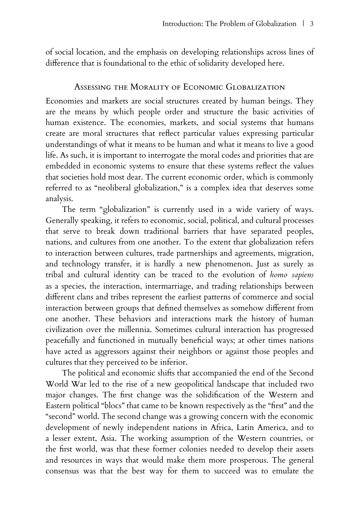of social location, and the emphasis on developing relationships across lines of difference that is foundational to the ethic of solidarity developed here.

#### Assessing the Morality of Economic Globalization

Economies and markets are social structures created by human beings. They are the means by which people order and structure the basic activities of human existence. The economies, markets, and social systems that humans create are moral structures that reflect particular values expressing particular understandings of what it means to be human and what it means to live a good life. As such, it is important to interrogate the moral codes and priorities that are embedded in economic systems to ensure that these systems reflect the values that societies hold most dear. The current economic order, which is commonly referred to as "neoliberal globalization," is a complex idea that deserves some analysis.

The term "globalization" is currently used in a wide variety of ways. Generally speaking, it refers to economic, social, political, and cultural processes that serve to break down traditional barriers that have separated peoples, nations, and cultures from one another. To the extent that globalization refers to interaction between cultures, trade partnerships and agreements, migration, and technology transfer, it is hardly a new phenomenon. Just as surely as tribal and cultural identity can be traced to the evolution of *homo sapiens* as a species, the interaction, intermarriage, and trading relationships between different clans and tribes represent the earliest patterns of commerce and social interaction between groups that defined themselves as somehow different from one another. These behaviors and interactions mark the history of human civilization over the millennia. Sometimes cultural interaction has progressed peacefully and functioned in mutually beneficial ways; at other times nations have acted as aggressors against their neighbors or against those peoples and cultures that they perceived to be inferior.

The political and economic shifts that accompanied the end of the Second World War led to the rise of a new geopolitical landscape that included two major changes. The first change was the solidification of the Western and Eastern political "blocs" that came to be known respectively as the "first" and the "second" world. The second change was a growing concern with the economic development of newly independent nations in Africa, Latin America, and to a lesser extent, Asia. The working assumption of the Western countries, or the first world, was that these former colonies needed to develop their assets and resources in ways that would make them more prosperous. The general consensus was that the best way for them to succeed was to emulate the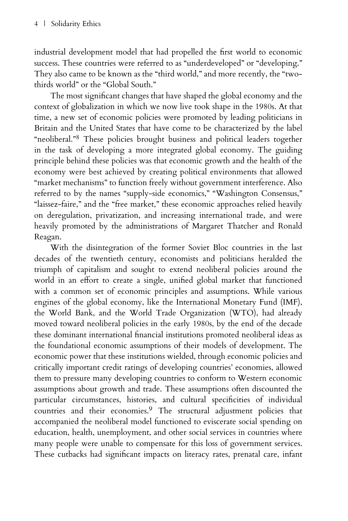industrial development model that had propelled the first world to economic success. These countries were referred to as "underdeveloped" or "developing." They also came to be known as the "third world," and more recently, the "twothirds world" or the "Global South."

The most significant changes that have shaped the global economy and the context of globalization in which we now live took shape in the 1980s. At that time, a new set of economic policies were promoted by leading politicians in Britain and the United States that have come to be characterized by the label "neoliberal."8 These policies brought business and political leaders together in the task of developing a more integrated global economy. The guiding principle behind these policies was that economic growth and the health of the economy were best achieved by creating political environments that allowed "market mechanisms" to function freely without government interference. Also referred to by the names "supply-side economics," "Washington Consensus," "laissez-faire," and the "free market," these economic approaches relied heavily on deregulation, privatization, and increasing international trade, and were heavily promoted by the administrations of Margaret Thatcher and Ronald Reagan.

With the disintegration of the former Soviet Bloc countries in the last decades of the twentieth century, economists and politicians heralded the triumph of capitalism and sought to extend neoliberal policies around the world in an effort to create a single, unified global market that functioned with a common set of economic principles and assumptions. While various engines of the global economy, like the International Monetary Fund (IMF), the World Bank, and the World Trade Organization (WTO), had already moved toward neoliberal policies in the early 1980s, by the end of the decade these dominant international financial institutions promoted neoliberal ideas as the foundational economic assumptions of their models of development. The economic power that these institutions wielded, through economic policies and critically important credit ratings of developing countries' economies, allowed them to pressure many developing countries to conform to Western economic assumptions about growth and trade. These assumptions often discounted the particular circumstances, histories, and cultural specificities of individual countries and their economies.9 The structural adjustment policies that accompanied the neoliberal model functioned to eviscerate social spending on education, health, unemployment, and other social services in countries where many people were unable to compensate for this loss of government services. These cutbacks had significant impacts on literacy rates, prenatal care, infant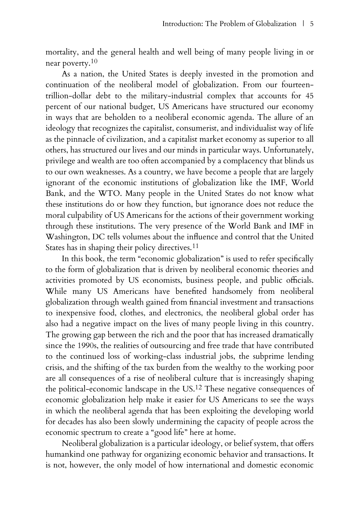mortality, and the general health and well being of many people living in or near poverty.10

As a nation, the United States is deeply invested in the promotion and continuation of the neoliberal model of globalization. From our fourteentrillion-dollar debt to the military-industrial complex that accounts for 45 percent of our national budget, US Americans have structured our economy in ways that are beholden to a neoliberal economic agenda. The allure of an ideology that recognizes the capitalist, consumerist, and individualist way of life as the pinnacle of civilization, and a capitalist market economy as superior to all others, has structured our lives and our minds in particular ways. Unfortunately, privilege and wealth are too often accompanied by a complacency that blinds us to our own weaknesses. As a country, we have become a people that are largely ignorant of the economic institutions of globalization like the IMF, World Bank, and the WTO. Many people in the United States do not know what these institutions do or how they function, but ignorance does not reduce the moral culpability of US Americans for the actions of their government working through these institutions. The very presence of the World Bank and IMF in Washington, DC tells volumes about the influence and control that the United States has in shaping their policy directives.11

In this book, the term "economic globalization" is used to refer specifically to the form of globalization that is driven by neoliberal economic theories and activities promoted by US economists, business people, and public officials. While many US Americans have benefited handsomely from neoliberal globalization through wealth gained from financial investment and transactions to inexpensive food, clothes, and electronics, the neoliberal global order has also had a negative impact on the lives of many people living in this country. The growing gap between the rich and the poor that has increased dramatically since the 1990s, the realities of outsourcing and free trade that have contributed to the continued loss of working-class industrial jobs, the subprime lending crisis, and the shifting of the tax burden from the wealthy to the working poor are all consequences of a rise of neoliberal culture that is increasingly shaping the political-economic landscape in the US.12 These negative consequences of economic globalization help make it easier for US Americans to see the ways in which the neoliberal agenda that has been exploiting the developing world for decades has also been slowly undermining the capacity of people across the economic spectrum to create a "good life" here at home.

Neoliberal globalization is a particular ideology, or belief system, that offers humankind one pathway for organizing economic behavior and transactions. It is not, however, the only model of how international and domestic economic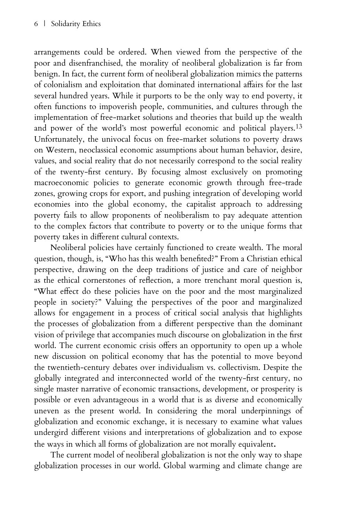arrangements could be ordered. When viewed from the perspective of the poor and disenfranchised, the morality of neoliberal globalization is far from benign. In fact, the current form of neoliberal globalization mimics the patterns of colonialism and exploitation that dominated international affairs for the last several hundred years. While it purports to be the only way to end poverty, it often functions to impoverish people, communities, and cultures through the implementation of free-market solutions and theories that build up the wealth and power of the world's most powerful economic and political players.13 Unfortunately, the univocal focus on free-market solutions to poverty draws on Western, neoclassical economic assumptions about human behavior, desire, values, and social reality that do not necessarily correspond to the social reality of the twenty-first century. By focusing almost exclusively on promoting macroeconomic policies to generate economic growth through free-trade zones, growing crops for export, and pushing integration of developing world economies into the global economy, the capitalist approach to addressing poverty fails to allow proponents of neoliberalism to pay adequate attention to the complex factors that contribute to poverty or to the unique forms that poverty takes in different cultural contexts.

Neoliberal policies have certainly functioned to create wealth. The moral question, though, is, "Who has this wealth benefited?" From a Christian ethical perspective, drawing on the deep traditions of justice and care of neighbor as the ethical cornerstones of reflection, a more trenchant moral question is, "What effect do these policies have on the poor and the most marginalized people in society?" Valuing the perspectives of the poor and marginalized allows for engagement in a process of critical social analysis that highlights the processes of globalization from a different perspective than the dominant vision of privilege that accompanies much discourse on globalization in the first world. The current economic crisis offers an opportunity to open up a whole new discussion on political economy that has the potential to move beyond the twentieth-century debates over individualism vs. collectivism. Despite the globally integrated and interconnected world of the twenty-first century, no single master narrative of economic transactions, development, or prosperity is possible or even advantageous in a world that is as diverse and economically uneven as the present world. In considering the moral underpinnings of globalization and economic exchange, it is necessary to examine what values undergird different visions and interpretations of globalization and to expose the ways in which all forms of globalization are not morally equivalent**.**

The current model of neoliberal globalization is not the only way to shape globalization processes in our world. Global warming and climate change are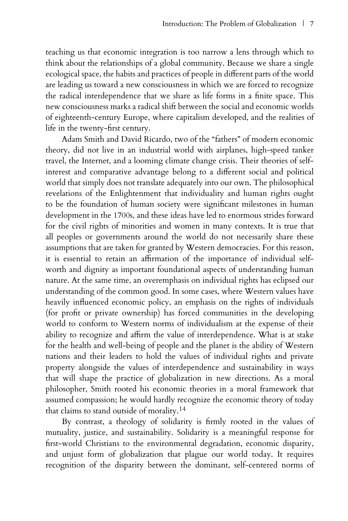teaching us that economic integration is too narrow a lens through which to think about the relationships of a global community. Because we share a single ecological space, the habits and practices of people in different parts of the world are leading us toward a new consciousness in which we are forced to recognize the radical interdependence that we share as life forms in a finite space. This new consciousness marks a radical shift between the social and economic worlds of eighteenth-century Europe, where capitalism developed, and the realities of life in the twenty-first century.

Adam Smith and David Ricardo, two of the "fathers" of modern economic theory, did not live in an industrial world with airplanes, high-speed tanker travel, the Internet, and a looming climate change crisis. Their theories of selfinterest and comparative advantage belong to a different social and political world that simply does not translate adequately into our own. The philosophical revelations of the Enlightenment that individuality and human rights ought to be the foundation of human society were significant milestones in human development in the 1700s, and these ideas have led to enormous strides forward for the civil rights of minorities and women in many contexts. It is true that all peoples or governments around the world do not necessarily share these assumptions that are taken for granted by Western democracies. For this reason, it is essential to retain an affirmation of the importance of individual selfworth and dignity as important foundational aspects of understanding human nature. At the same time, an overemphasis on individual rights has eclipsed our understanding of the common good. In some cases, where Western values have heavily influenced economic policy, an emphasis on the rights of individuals (for profit or private ownership) has forced communities in the developing world to conform to Western norms of individualism at the expense of their ability to recognize and affirm the value of interdependence. What is at stake for the health and well-being of people and the planet is the ability of Western nations and their leaders to hold the values of individual rights and private property alongside the values of interdependence and sustainability in ways that will shape the practice of globalization in new directions. As a moral philosopher, Smith rooted his economic theories in a moral framework that assumed compassion; he would hardly recognize the economic theory of today that claims to stand outside of morality.14

By contrast, a theology of solidarity is firmly rooted in the values of mutuality, justice, and sustainability. Solidarity is a meaningful response for first-world Christians to the environmental degradation, economic disparity, and unjust form of globalization that plague our world today. It requires recognition of the disparity between the dominant, self-centered norms of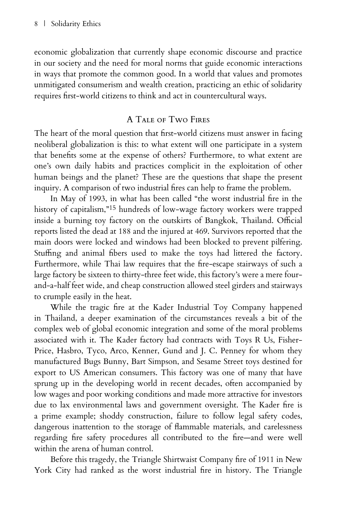economic globalization that currently shape economic discourse and practice in our society and the need for moral norms that guide economic interactions in ways that promote the common good. In a world that values and promotes unmitigated consumerism and wealth creation, practicing an ethic of solidarity requires first-world citizens to think and act in countercultural ways.

### A Tale of Two Fires

The heart of the moral question that first-world citizens must answer in facing neoliberal globalization is this: to what extent will one participate in a system that benefits some at the expense of others? Furthermore, to what extent are one's own daily habits and practices complicit in the exploitation of other human beings and the planet? These are the questions that shape the present inquiry. A comparison of two industrial fires can help to frame the problem.

In May of 1993, in what has been called "the worst industrial fire in the history of capitalism,"15 hundreds of low-wage factory workers were trapped inside a burning toy factory on the outskirts of Bangkok, Thailand. Official reports listed the dead at 188 and the injured at 469. Survivors reported that the main doors were locked and windows had been blocked to prevent pilfering. Stuffing and animal fibers used to make the toys had littered the factory. Furthermore, while Thai law requires that the fire-escape stairways of such a large factory be sixteen to thirty-three feet wide, this factory's were a mere fourand-a-half feet wide, and cheap construction allowed steel girders and stairways to crumple easily in the heat.

While the tragic fire at the Kader Industrial Toy Company happened in Thailand, a deeper examination of the circumstances reveals a bit of the complex web of global economic integration and some of the moral problems associated with it. The Kader factory had contracts with Toys R Us, Fisher-Price, Hasbro, Tyco, Arco, Kenner, Gund and J. C. Penney for whom they manufactured Bugs Bunny, Bart Simpson, and Sesame Street toys destined for export to US American consumers. This factory was one of many that have sprung up in the developing world in recent decades, often accompanied by low wages and poor working conditions and made more attractive for investors due to lax environmental laws and government oversight. The Kader fire is a prime example; shoddy construction, failure to follow legal safety codes, dangerous inattention to the storage of flammable materials, and carelessness regarding fire safety procedures all contributed to the fire—and were well within the arena of human control.

Before this tragedy, the Triangle Shirtwaist Company fire of 1911 in New York City had ranked as the worst industrial fire in history. The Triangle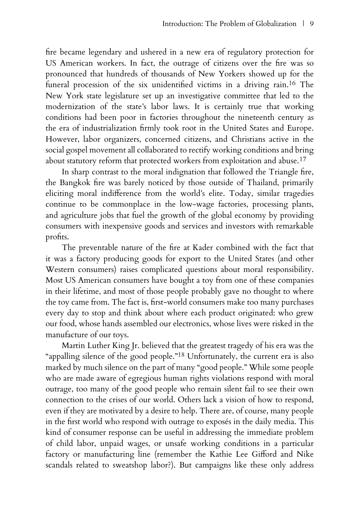fire became legendary and ushered in a new era of regulatory protection for US American workers. In fact, the outrage of citizens over the fire was so pronounced that hundreds of thousands of New Yorkers showed up for the funeral procession of the six unidentified victims in a driving rain.16 The New York state legislature set up an investigative committee that led to the modernization of the state's labor laws. It is certainly true that working conditions had been poor in factories throughout the nineteenth century as the era of industrialization firmly took root in the United States and Europe. However, labor organizers, concerned citizens, and Christians active in the social gospel movement all collaborated to rectify working conditions and bring about statutory reform that protected workers from exploitation and abuse.17

In sharp contrast to the moral indignation that followed the Triangle fire, the Bangkok fire was barely noticed by those outside of Thailand, primarily eliciting moral indifference from the world's elite. Today, similar tragedies continue to be commonplace in the low-wage factories, processing plants, and agriculture jobs that fuel the growth of the global economy by providing consumers with inexpensive goods and services and investors with remarkable profits.

The preventable nature of the fire at Kader combined with the fact that it was a factory producing goods for export to the United States (and other Western consumers) raises complicated questions about moral responsibility. Most US American consumers have bought a toy from one of these companies in their lifetime, and most of those people probably gave no thought to where the toy came from. The fact is, first-world consumers make too many purchases every day to stop and think about where each product originated: who grew our food, whose hands assembled our electronics, whose lives were risked in the manufacture of our toys.

Martin Luther King Jr. believed that the greatest tragedy of his era was the "appalling silence of the good people."18 Unfortunately, the current era is also marked by much silence on the part of many "good people." While some people who are made aware of egregious human rights violations respond with moral outrage, too many of the good people who remain silent fail to see their own connection to the crises of our world. Others lack a vision of how to respond, even if they are motivated by a desire to help. There are, of course, many people in the first world who respond with outrage to exposés in the daily media. This kind of consumer response can be useful in addressing the immediate problem of child labor, unpaid wages, or unsafe working conditions in a particular factory or manufacturing line (remember the Kathie Lee Gifford and Nike scandals related to sweatshop labor?). But campaigns like these only address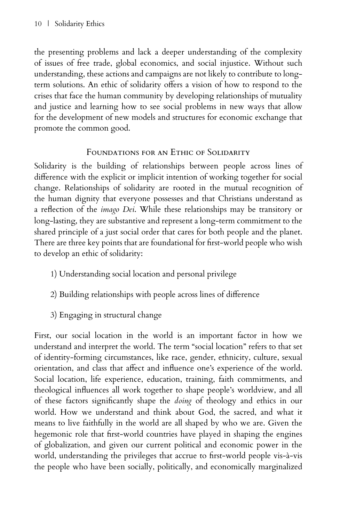the presenting problems and lack a deeper understanding of the complexity of issues of free trade, global economics, and social injustice. Without such understanding, these actions and campaigns are not likely to contribute to longterm solutions. An ethic of solidarity offers a vision of how to respond to the crises that face the human community by developing relationships of mutuality and justice and learning how to see social problems in new ways that allow for the development of new models and structures for economic exchange that promote the common good.

## Foundations for an Ethic of Solidarity

Solidarity is the building of relationships between people across lines of difference with the explicit or implicit intention of working together for social change. Relationships of solidarity are rooted in the mutual recognition of the human dignity that everyone possesses and that Christians understand as a reflection of the *imago Dei*. While these relationships may be transitory or long-lasting, they are substantive and represent a long-term commitment to the shared principle of a just social order that cares for both people and the planet. There are three key points that are foundational for first-world people who wish to develop an ethic of solidarity:

- 1) Understanding social location and personal privilege
- 2) Building relationships with people across lines of difference
- 3) Engaging in structural change

First, our social location in the world is an important factor in how we understand and interpret the world. The term "social location" refers to that set of identity-forming circumstances, like race, gender, ethnicity, culture, sexual orientation, and class that affect and influence one's experience of the world. Social location, life experience, education, training, faith commitments, and theological influences all work together to shape people's worldview, and all of these factors significantly shape the *doing* of theology and ethics in our world. How we understand and think about God, the sacred, and what it means to live faithfully in the world are all shaped by who we are. Given the hegemonic role that first-world countries have played in shaping the engines of globalization, and given our current political and economic power in the world, understanding the privileges that accrue to first-world people vis-à-vis the people who have been socially, politically, and economically marginalized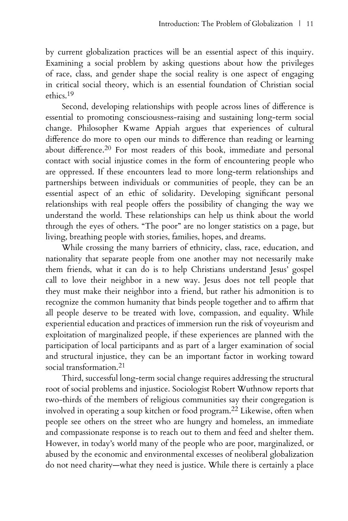by current globalization practices will be an essential aspect of this inquiry. Examining a social problem by asking questions about how the privileges of race, class, and gender shape the social reality is one aspect of engaging in critical social theory, which is an essential foundation of Christian social ethics.19

Second, developing relationships with people across lines of difference is essential to promoting consciousness-raising and sustaining long-term social change. Philosopher Kwame Appiah argues that experiences of cultural difference do more to open our minds to difference than reading or learning about difference.20 For most readers of this book, immediate and personal contact with social injustice comes in the form of encountering people who are oppressed. If these encounters lead to more long-term relationships and partnerships between individuals or communities of people, they can be an essential aspect of an ethic of solidarity. Developing significant personal relationships with real people offers the possibility of changing the way we understand the world. These relationships can help us think about the world through the eyes of others. "The poor" are no longer statistics on a page, but living, breathing people with stories, families, hopes, and dreams.

While crossing the many barriers of ethnicity, class, race, education, and nationality that separate people from one another may not necessarily make them friends, what it can do is to help Christians understand Jesus' gospel call to love their neighbor in a new way. Jesus does not tell people that they must make their neighbor into a friend, but rather his admonition is to recognize the common humanity that binds people together and to affirm that all people deserve to be treated with love, compassion, and equality. While experiential education and practices of immersion run the risk of voyeurism and exploitation of marginalized people, if these experiences are planned with the participation of local participants and as part of a larger examination of social and structural injustice, they can be an important factor in working toward social transformation.<sup>21</sup>

Third, successful long-term social change requires addressing the structural root of social problems and injustice. Sociologist Robert Wuthnow reports that two-thirds of the members of religious communities say their congregation is involved in operating a soup kitchen or food program.22 Likewise, often when people see others on the street who are hungry and homeless, an immediate and compassionate response is to reach out to them and feed and shelter them. However, in today's world many of the people who are poor, marginalized, or abused by the economic and environmental excesses of neoliberal globalization do not need charity—what they need is justice. While there is certainly a place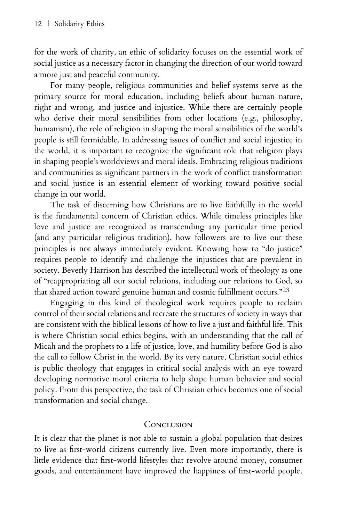for the work of charity, an ethic of solidarity focuses on the essential work of social justice as a necessary factor in changing the direction of our world toward a more just and peaceful community.

For many people, religious communities and belief systems serve as the primary source for moral education, including beliefs about human nature, right and wrong, and justice and injustice. While there are certainly people who derive their moral sensibilities from other locations (e.g., philosophy, humanism), the role of religion in shaping the moral sensibilities of the world's people is still formidable. In addressing issues of conflict and social injustice in the world, it is important to recognize the significant role that religion plays in shaping people's worldviews and moral ideals. Embracing religious traditions and communities as significant partners in the work of conflict transformation and social justice is an essential element of working toward positive social change in our world.

The task of discerning how Christians are to live faithfully in the world is the fundamental concern of Christian ethics. While timeless principles like love and justice are recognized as transcending any particular time period (and any particular religious tradition), how followers are to live out these principles is not always immediately evident. Knowing how to "do justice" requires people to identify and challenge the injustices that are prevalent in society. Beverly Harrison has described the intellectual work of theology as one of "reappropriating all our social relations, including our relations to God, so that shared action toward genuine human and cosmic fulfillment occurs."23

Engaging in this kind of theological work requires people to reclaim control of their social relations and recreate the structures of society in ways that are consistent with the biblical lessons of how to live a just and faithful life. This is where Christian social ethics begins, with an understanding that the call of Micah and the prophets to a life of justice, love, and humility before God is also the call to follow Christ in the world. By its very nature, Christian social ethics is public theology that engages in critical social analysis with an eye toward developing normative moral criteria to help shape human behavior and social policy. From this perspective, the task of Christian ethics becomes one of social transformation and social change.

#### **CONCLUSION**

It is clear that the planet is not able to sustain a global population that desires to live as first-world citizens currently live. Even more importantly, there is little evidence that first-world lifestyles that revolve around money, consumer goods, and entertainment have improved the happiness of first-world people.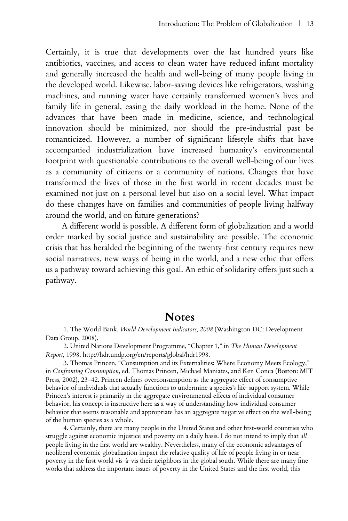Certainly, it is true that developments over the last hundred years like antibiotics, vaccines, and access to clean water have reduced infant mortality and generally increased the health and well-being of many people living in the developed world. Likewise, labor-saving devices like refrigerators, washing machines, and running water have certainly transformed women's lives and family life in general, easing the daily workload in the home. None of the advances that have been made in medicine, science, and technological innovation should be minimized, nor should the pre-industrial past be romanticized. However, a number of significant lifestyle shifts that have accompanied industrialization have increased humanity's environmental footprint with questionable contributions to the overall well-being of our lives as a community of citizens or a community of nations. Changes that have transformed the lives of those in the first world in recent decades must be examined not just on a personal level but also on a social level. What impact do these changes have on families and communities of people living halfway around the world, and on future generations?

A different world is possible. A different form of globalization and a world order marked by social justice and sustainability are possible. The economic crisis that has heralded the beginning of the twenty-first century requires new social narratives, new ways of being in the world, and a new ethic that offers us a pathway toward achieving this goal. An ethic of solidarity offers just such a pathway.

## **Notes**

1. The World Bank, *World Development Indicators, 2008* (Washington DC: Development Data Group, 2008).

2. United Nations Development Programme, "Chapter 1," in *The Human Development Report*, 1998, http://hdr.undp.org/en/reports/global/hdr1998.

3. Thomas Princen, "Consumption and its Externalities: Where Economy Meets Ecology," in *Confronting Consumption*, ed. Thomas Princen, Michael Maniates, and Ken Conca (Boston: MIT Press, 2002), 23–42. Princen defines overconsumption as the aggregate effect of consumptive behavior of individuals that actually functions to undermine a species's life-support system. While Princen's interest is primarily in the aggregate environmental effects of individual consumer behavior, his concept is instructive here as a way of understanding how individual consumer behavior that seems reasonable and appropriate has an aggregate negative effect on the well-being of the human species as a whole.

4. Certainly, there are many people in the United States and other first-world countries who struggle against economic injustice and poverty on a daily basis. I do not intend to imply that *all* people living in the first world are wealthy. Nevertheless, many of the economic advantages of neoliberal economic globalization impact the relative quality of life of people living in or near poverty in the first world vis-à-vis their neighbors in the global south. While there are many fine works that address the important issues of poverty in the United States and the first world, this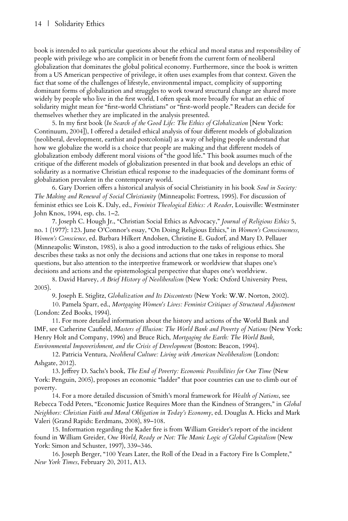book is intended to ask particular questions about the ethical and moral status and responsibility of people with privilege who are complicit in or benefit from the current form of neoliberal globalization that dominates the global political economy. Furthermore, since the book is written from a US American perspective of privilege, it often uses examples from that context. Given the fact that some of the challenges of lifestyle, environmental impact, complicity of supporting dominant forms of globalization and struggles to work toward structural change are shared more widely by people who live in the first world, I often speak more broadly for what an ethic of solidarity might mean for "first-world Christians" or "first-world people." Readers can decide for themselves whether they are implicated in the analysis presented.

5. In my first book (*In Search of the Good Life: The Ethics of Globalization* [New York: Continuum, 2004]), I offered a detailed ethical analysis of four different models of globalization (neoliberal, development, earthist and postcolonial) as a way of helping people understand that how we globalize the world is a choice that people are making and that different models of globalization embody different moral visions of "the good life." This book assumes much of the critique of the different models of globalization presented in that book and develops an ethic of solidarity as a normative Christian ethical response to the inadequacies of the dominant forms of globalization prevalent in the contemporary world.

6. Gary Dorrien offers a historical analysis of social Christianity in his book *Soul in Society: The Making and Renewal of Social Christianity* (Minneapolis: Fortress, 1995). For discussion of feminist ethics see Lois K. Daly, ed., *Feminist Theological Ethics: A Reader*, Louisville: Westminster John Knox, 1994, esp. chs. 1–2.

7. Joseph C. Hough Jr., "Christian Social Ethics as Advocacy," *Journal of Religious Ethics* 5, no. 1 (1977): 123. June O'Connor's essay, "On Doing Religious Ethics," in *Women's Consciousness, Women's Conscience*, ed. Barbara Hilkert Andolsen, Christine E. Gudorf, and Mary D. Pellauer (Minneapolis: Winston, 1985), is also a good introduction to the tasks of religious ethics. She describes these tasks as not only the decisions and actions that one takes in response to moral questions, but also attention to the interpretive framework or worldview that shapes one's decisions and actions and the epistemological perspective that shapes one's worldview.

8. David Harvey, *A Brief History of Neoliberalism* (New York: Oxford University Press, 2005).

9. Joseph E. Stiglitz, *Globalization and Its Discontents* (New York: W.W. Norton, 2002).

10. Pamela Sparr, ed., *Mortgaging Women's Lives: Feminist Critiques of Structural Adjustment* (London: Zed Books, 1994).

11. For more detailed information about the history and actions of the World Bank and IMF, see Catherine Caufield, *Masters of Illusion: The World Bank and Poverty of Nations* (New York: Henry Holt and Company, 1996) and Bruce Rich, *Mortgaging the Earth: The World Bank, Environmental Impoverishment, and the Crisis of Development* (Boston: Beacon, 1994).

12. Patricia Ventura, *Neoliberal Culture: Living with American Neoliberalism* (London: Ashgate, 2012).

13. Jeffrey D. Sachs's book, *The End of Poverty: Economic Possibilities for Our Time* (New York: Penguin, 2005), proposes an economic "ladder" that poor countries can use to climb out of poverty.

14. For a more detailed discussion of Smith's moral framework for *Wealth of Nations*, see Rebecca Todd Peters, "Economic Justice Requires More than the Kindness of Strangers," in *Global Neighbors: Christian Faith and Moral Obligation in Today's Economy*, ed. Douglas A. Hicks and Mark Valeri (Grand Rapids: Eerdmans, 2008), 89–108.

15. Information regarding the Kader fire is from William Greider's report of the incident found in William Greider, *One World, Ready or Not: The Manic Logic of Global Capitalism* (New York: Simon and Schuster, 1997), 339–346.

16. Joseph Berger, "100 Years Later, the Roll of the Dead in a Factory Fire Is Complete," *New York Times*, February 20, 2011, A13.